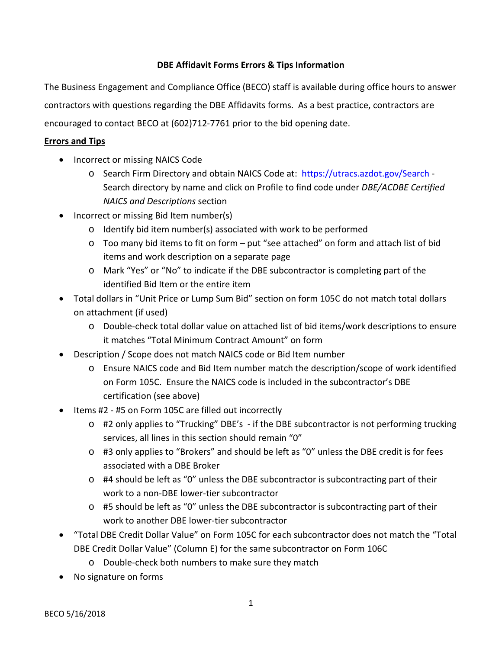## **DBE Affidavit Forms Errors & Tips Information**

The Business Engagement and Compliance Office (BECO) staff is available during office hours to answer contractors with questions regarding the DBE Affidavits forms. As a best practice, contractors are encouraged to contact BECO at (602)712-7761 prior to the bid opening date.

## **Errors and Tips**

- Incorrect or missing NAICS Code
	- o Search Firm Directory and obtain NAICS Code at: <https://utracs.azdot.gov/Search> -Search directory by name and click on Profile to find code under *DBE/ACDBE Certified NAICS and Descriptions* section
- Incorrect or missing Bid Item number(s)
	- o Identify bid item number(s) associated with work to be performed
	- o Too many bid items to fit on form put "see attached" on form and attach list of bid items and work description on a separate page
	- o Mark "Yes" or "No" to indicate if the DBE subcontractor is completing part of the identified Bid Item or the entire item
- Total dollars in "Unit Price or Lump Sum Bid" section on form 105C do not match total dollars on attachment (if used)
	- o Double-check total dollar value on attached list of bid items/work descriptions to ensure it matches "Total Minimum Contract Amount" on form
- Description / Scope does not match NAICS code or Bid Item number
	- o Ensure NAICS code and Bid Item number match the description/scope of work identified on Form 105C. Ensure the NAICS code is included in the subcontractor's DBE certification (see above)
- Items #2 #5 on Form 105C are filled out incorrectly
	- o #2 only applies to "Trucking" DBE's if the DBE subcontractor is not performing trucking services, all lines in this section should remain "0"
	- o #3 only applies to "Brokers" and should be left as "0" unless the DBE credit is for fees associated with a DBE Broker
	- o #4 should be left as "0" unless the DBE subcontractor is subcontracting part of their work to a non-DBE lower-tier subcontractor
	- o #5 should be left as "0" unless the DBE subcontractor is subcontracting part of their work to another DBE lower-tier subcontractor
- "Total DBE Credit Dollar Value" on Form 105C for each subcontractor does not match the "Total DBE Credit Dollar Value" (Column E) for the same subcontractor on Form 106C
	- o Double-check both numbers to make sure they match
- No signature on forms